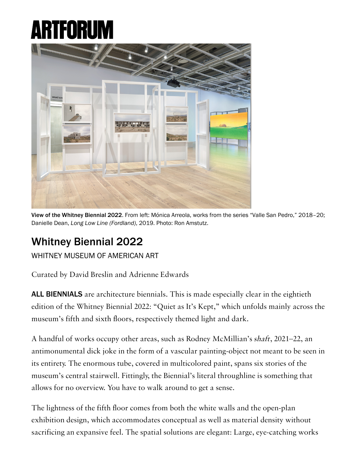## ARTFOR



View of the Whitney Biennial 2022. From left: Mónica Arreola, works from the series "Valle San Pedro," 2018–20; Danielle Dean, Long Low Line (Fordland), 2019. Photo: Ron Amstutz.

## [Whitney Biennial 2022](https://www.artforum.com/print/reviews/202206/jace-clayton-on-the-whitney-biennial-2022-88620)

[WHITNEY MUSEUM OF AMERICAN ART](https://www.artforum.com/artguide/whitney-museum-of-american-art-27)

Curated by David Breslin and Adrienne Edwards

ALL BIENNIALS are architecture biennials. This is made especially clear in the eightieth edition of the Whitney Biennial 2022: "Quiet as It's Kept," which unfolds mainly across the museum's fifth and sixth floors, respectively themed light and dark.

A handful of works occupy other areas, such as Rodney McMillian's shaft, 2021–22, an antimonumental dick joke in the form of a vascular painting-object not meant to be seen in its entirety. The enormous tube, covered in multicolored paint, spans six stories of the museum's central stairwell. Fittingly, the Biennial's literal throughline is something that allows for no overview. You have to walk around to get a sense.

The lightness of the fifth floor comes from both the white walls and the open-plan exhibition design, which accommodates conceptual as well as material density without sacrificing an expansive feel. The spatial solutions are elegant: Large, eye-catching works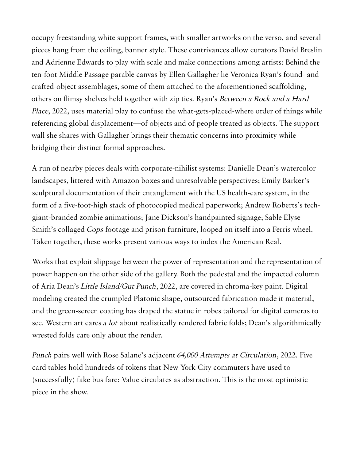occupy freestanding white support frames, with smaller artworks on the verso, and several pieces hang from the ceiling, banner style. These contrivances allow curators David Breslin and Adrienne Edwards to play with scale and make connections among artists: Behind the ten-foot Middle Passage parable canvas by Ellen Gallagher lie Veronica Ryan's found- and crafted-object assemblages, some of them attached to the aforementioned scaffolding, others on flimsy shelves held together with zip ties. Ryan's Between a Rock and a Hard Place, 2022, uses material play to confuse the what-gets-placed-where order of things while referencing global displacement—of objects and of people treated as objects. The support wall she shares with Gallagher brings their thematic concerns into proximity while bridging their distinct formal approaches.

A run of nearby pieces deals with corporate-nihilist systems: Danielle Dean's watercolor landscapes, littered with Amazon boxes and unresolvable perspectives; Emily Barker's sculptural documentation of their entanglement with the US health-care system, in the form of a five-foot-high stack of photocopied medical paperwork; Andrew Roberts's techgiant-branded zombie animations; Jane Dickson's handpainted signage; Sable Elyse Smith's collaged Cops footage and prison furniture, looped on itself into a Ferris wheel. Taken together, these works present various ways to index the American Real.

Works that exploit slippage between the power of representation and the representation of power happen on the other side of the gallery. Both the pedestal and the impacted column of Aria Dean's Little Island/Gut Punch, 2022, are covered in chroma-key paint. Digital modeling created the crumpled Platonic shape, outsourced fabrication made it material, and the green-screen coating has draped the statue in robes tailored for digital cameras to see. Western art cares a lot about realistically rendered fabric folds; Dean's algorithmically wrested folds care only about the render.

Punch pairs well with Rose Salane's adjacent 64,000 Attempts at Circulation, 2022. Five card tables hold hundreds of tokens that New York City commuters have used to (successfully) fake bus fare: Value circulates as abstraction. This is the most optimistic piece in the show.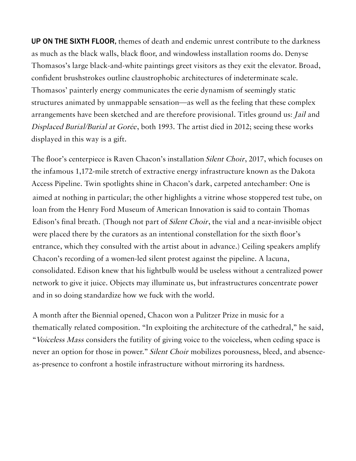UP ON THE SIXTH FLOOR, themes of death and endemic unrest contribute to the darkness as much as the black walls, black floor, and windowless installation rooms do. Denyse Thomasos's large black-and-white paintings greet visitors as they exit the elevator. Broad, confident brushstrokes outline claustrophobic architectures of indeterminate scale. Thomasos' painterly energy communicates the eerie dynamism of seemingly static structures animated by unmappable sensation—as well as the feeling that these complex arrangements have been sketched and are therefore provisional. Titles ground us: Jail and Displaced Burial/Burial at Gorée, both 1993. The artist died in 2012; seeing these works displayed in this way is a gift.

The floor's centerpiece is Raven Chacon's installation Silent Choir, 2017, which focuses on the infamous 1,172-mile stretch of extractive energy infrastructure known as the Dakota Access Pipeline. Twin spotlights shine in Chacon's dark, carpeted antechamber: One is aimed at nothing in particular; the other highlights a vitrine whose stoppered test tube, on loan from the Henry Ford Museum of American Innovation is said to contain Thomas Edison's final breath. (Though not part of Silent Choir, the vial and a near-invisible object were placed there by the curators as an intentional constellation for the sixth floor's entrance, which they consulted with the artist about in advance.) Ceiling speakers amplify Chacon's recording of a women-led silent protest against the pipeline. A lacuna, consolidated. Edison knew that his lightbulb would be useless without a centralized power network to give it juice. Objects may illuminate us, but infrastructures concentrate power and in so doing standardize how we fuck with the world.

A month after the Biennial opened, Chacon won a Pulitzer Prize in music for a thematically related composition. "In exploiting the architecture of the cathedral," he said, "Voiceless Mass considers the futility of giving voice to the voiceless, when ceding space is never an option for those in power." *Silent Choir* mobilizes porousness, bleed, and absenceas-presence to confront a hostile infrastructure without mirroring its hardness.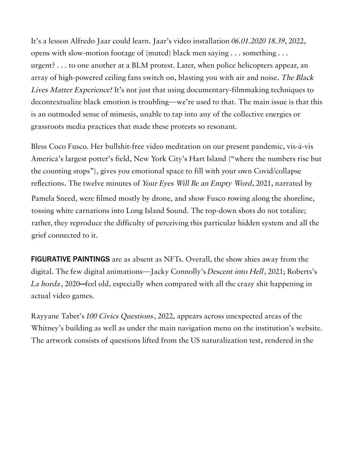It's a lesson Alfredo Jaar could learn. Jaar's video installation 06.01.2020 18.39, 2022, opens with slow-motion footage of (muted) black men saying . . . something . . . urgent? . . . to one another at a BLM protest. Later, when police helicopters appear, an array of high-powered ceiling fans switch on, blasting you with air and noise. The Black Lives Matter Experience! It's not just that using documentary-filmmaking techniques to decontextualize black emotion is troubling—we're used to that. The main issue is that this is an outmoded sense of mimesis, unable to tap into any of the collective energies or grassroots media practices that made these protests so resonant.

Bless Coco Fusco. Her bullshit-free video meditation on our present pandemic, vis-à-vis America's largest potter's field, New York City's Hart Island ("where the numbers rise but the counting stops"), gives you emotional space to fill with your own Covid/collapse reflections. The twelve minutes of Your Eyes Will Be an Empty Word, 2021, narrated by

Pamela Sneed, were filmed mostly by drone, and show Fusco rowing along the shoreline, tossing white carnations into Long Island Sound. The top-down shots do not totalize; rather, they reproduce the difficulty of perceiving this particular hidden system and all the grief connected to it.

FIGURATIVE PAINTINGS are as absent as NFTs. Overall, the show shies away from the digital. The few digital animations—Jacky Connolly's Descent into Hell, 2021; Roberts's La horda, 2020—feel old, especially when compared with all the crazy shit happening in actual video games.

Rayyane Tabet's 100 Civics Questions, 2022, appears across unexpected areas of the Whitney's building as well as under the main navigation menu on the institution's website. The artwork consists of questions lifted from the US naturalization test, rendered in the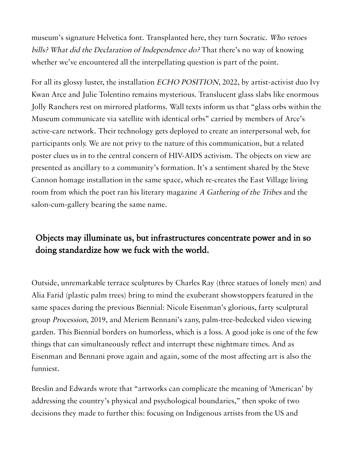museum's signature Helvetica font. Transplanted here, they turn Socratic. Who vetoes bills? What did the Declaration of Independence do? That there's no way of knowing whether we've encountered all the interpellating question is part of the point.

For all its glossy luster, the installation ECHO POSITION, 2022, by artist-activist duo Ivy Kwan Arce and Julie Tolentino remains mysterious. Translucent glass slabs like enormous Jolly Ranchers rest on mirrored platforms. Wall texts inform us that "glass orbs within the Museum communicate via satellite with identical orbs" carried by members of Arce's active-care network. Their technology gets deployed to create an interpersonal web, for participants only. We are not privy to the nature of this communication, but a related poster clues us in to the central concern of HIV-AIDS activism. The objects on view are presented as ancillary to a community's formation. It's a sentiment shared by the Steve Cannon homage installation in the same space, which re-creates the East Village living room from which the poet ran his literary magazine A Gathering of the Tribes and the salon-cum-gallery bearing the same name.

## Objects may illuminate us, but infrastructures concentrate power and in so doing standardize how we fuck with the world.

Outside, unremarkable terrace sculptures by Charles Ray (three statues of lonely men) and Alia Farid (plastic palm trees) bring to mind the exuberant showstoppers featured in the same spaces during the previous Biennial: Nicole Eisenman's glorious, farty sculptural group Procession, 2019, and Meriem Bennani's zany, palm-tree-bedecked video viewing garden. This Biennial borders on humorless, which is a loss. A good joke is one of the few things that can simultaneously reflect and interrupt these nightmare times. And as Eisenman and Bennani prove again and again, some of the most affecting art is also the funniest.

Breslin and Edwards wrote that "artworks can complicate the meaning of 'American' by addressing the country's physical and psychological boundaries," then spoke of two decisions they made to further this: focusing on Indigenous artists from the US and